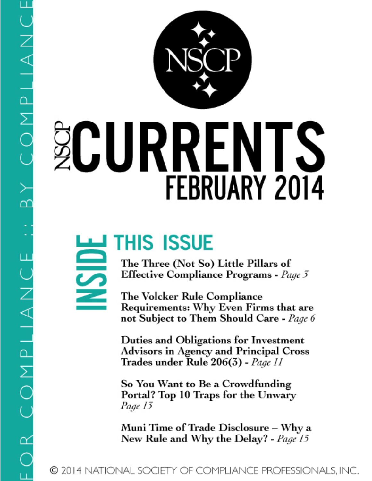

# **URRFI**  $\overline{\mathbf{S}}$ **FEBRUARY 2014**

# THIS ISSUE لي

The Three (Not So) Little Pillars of Effective Compliance Programs - Page 3

The Volcker Rule Compliance Requirements: Why Even Firms that are not Subject to Them Should Care - Page 6

Duties and Obligations for Investment **Advisors in Agency and Principal Cross** Trades under Rule 206(3) - Page 11

So You Want to Be a Crowdfunding Portal? Top 10 Traps for the Unwary Page 13

Muni Time of Trade Disclosure – Why a New Rule and Why the Delay? - Page 15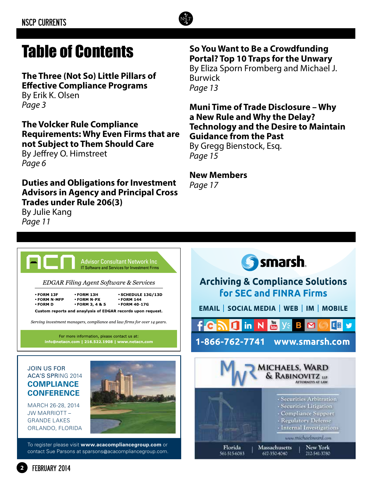

## Table of Contents

**The Three (Not So) Little Pillars of Effective Compliance Programs**

By Erik K. Olsen *Page 3*

**The Volcker Rule Compliance Requirements: Why Even Firms that are not Subject to Them Should Care**

By Jeffrey O. Himstreet *Page 6*

**Duties and Obligations for Investment Advisors in Agency and Principal Cross Trades under Rule 206(3)**

By Julie Kang *Page 11*

### **So You Want to Be a Crowdfunding Portal? Top 10 Traps for the Unwary**

By Eliza Sporn Fromberg and Michael J. Burwick *Page 13*

### **Muni Time of Trade Disclosure – Why a New Rule and Why the Delay? Technology and the Desire to Maintain Guidance from the Past**

By Gregg Bienstock, Esq. *Page 15*

**New Members** *Page 17*

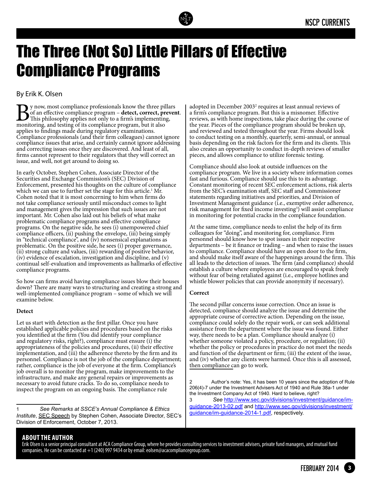

#### By Erik K. Olsen

By now, most compliance professionals know the three pillars of an effective compliance program – **detect, correct, prevent**. This philosophy applies not only to a firm's implementing, monitoring, and testing of its compliance program, but it also applies to findings made during regulatory examinations. Compliance professionals (and their firm colleagues) cannot ignore compliance issues that arise, and certainly cannot ignore addressing and correcting issues once they are discovered. And least of all, firms cannot represent to their regulators that they will correct an issue, and well, not get around to doing so.

In early October, Stephen Cohen, Associate Director of the Securities and Exchange Commission's (SEC) Division of Enforcement, presented his thoughts on the culture of compliance which we can use to further set the stage for this article.<sup>1</sup> Mr. Cohen noted that it is most concerning to him when firms do not take compliance seriously until misconduct comes to light and management gives the impression that such issues are not important. Mr. Cohen also laid out his beliefs of what make problematic compliance programs and effective compliance programs. On the negative side, he sees (i) unempowered chief compliance officers, (ii) pushing the envelope, (iii) being simply in "technical compliance", and (iv) nonsensical explanations as problematic. On the positive side, he sees (i) proper governance, (ii) strong culture and values, (iii) rewarding of positive behavior, (iv) evidence of escalation, investigation and discipline, and (v) continual self-evaluation and improvements as hallmarks of effective compliance programs.

So how can firms avoid having compliance issues blow their houses down? There are many ways to structuring and creating a strong and well-implemented compliance program – some of which we will examine below.

#### **Detect**

Let us start with detection as the first pillar. Once you have established applicable policies and procedures based on the risks you identified at the firm (You did identify your compliance and regulatory risks, right?), compliance must ensure (i) the appropriateness of the policies and procedures, (ii) their effective implementation, and (iii) the adherence thereto by the firm and its personnel. Compliance is not the job of the compliance department; rather, compliance is the job of everyone at the firm. Compliance's job overall is to monitor the program, make improvements to the infrastructure, and make any general repairs or improvements as necessary to avoid future cracks. To do so, compliance needs to inspect the program on an ongoing basis. The compliance rule

adopted in December 2003<sup>2</sup> requires at least annual reviews of a firm's compliance program. But this is a misnomer. Effective reviews, as with home inspections, take place during the course of the year. Pieces of the compliance program should be broken up, and reviewed and tested throughout the year. Firms should look to conduct testing on a monthly, quarterly, semi-annual, or annual basis depending on the risk factors for the firm and its clients. This also creates an opportunity to conduct in-depth reviews of smaller pieces, and allows compliance to utilize forensic testing.

Compliance should also look at outside influences on the compliance program. We live in a society where information comes fast and furious. Compliance should use this to its advantage. Constant monitoring of recent SEC enforcement actions, risk alerts from the SEC's examination staff, SEC staff and Commissioner statements regarding initiatives and priorities, and Division of Investment Management guidance (i.e., exemptive order adherence, risk management for fixed income investing<sup>3</sup>) will assist compliance in monitoring for potential cracks in the compliance foundation.

At the same time, compliance needs to enlist the help of its firm colleagues for "doing", and monitoring for, compliance. Firm personnel should know how to spot issues in their respective departments – be it finance or trading – and when to raise the issues to compliance. Compliance should have an open door to the firm, and should make itself aware of the happenings around the firm. This all leads to the detection of issues. The firm (and compliance) should establish a culture where employees are encouraged to speak freely without fear of being retaliated against (i.e., employee hotlines and whistle blower policies that can provide anonymity if necessary).

#### **Correct**

The second pillar concerns issue correction. Once an issue is detected, compliance should analyze the issue and determine the appropriate course of corrective action. Depending on the issue, compliance could solely do the repair work, or can seek additional assistance from the department where the issue was found. Either way, there needs to be a plan. Compliance should analyze (i) whether someone violated a policy, procedure, or regulation; (ii) whether the policy or procedures in practice do not meet the needs and function of the department or firm; (iii) the extent of the issue, and (iv) whether any clients were harmed. Once this is all assessed, then compliance can go to work.

Author's note: Yes, it has been 10 years since the adoption of Rule 206(4)-7 under the Investment Advisers Act of 1940 and Rule 38a-1 under the Investment Company Act of 1940. Hard to believe, right?

3 *See* [http://www.sec.gov/divisions/investment/guidance/im](http://www.sec.gov/divisions/investment/guidance/im-guidance-2013-02.pdf)[guidance-2013-02.pdf](http://www.sec.gov/divisions/investment/guidance/im-guidance-2013-02.pdf) and [http://www.sec.gov/divisions/investment/](http://www.sec.gov/divisions/investment/guidance/im-guidance-2014-1.pdf) [guidance/im-guidance-2014-1.pdf](http://www.sec.gov/divisions/investment/guidance/im-guidance-2014-1.pdf), respectively.

#### **About the author**

Erik Olsen is a senior principal consultant at ACA Compliance Group, where he provides consulting services to investment advisers, private fund managers, and mutual fund companies. He can be contacted at +1 (240) 997 9434 or by email: [eolsen@acacompliancegroup.com.](mailto:eolsen@acacompliancegroup.com)

<sup>1</sup> *See Remarks at SSCE's Annual Compliance & Ethics Institute*, SEC Speech by Stephen Cohen, Associate Director, SEC's Division of Enforcement, October 7, 2013.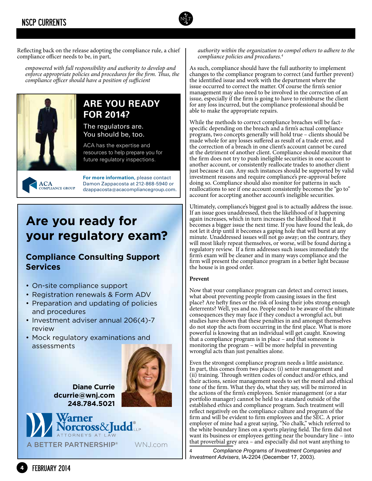

Reflecting back on the release adopting the compliance rule, a chief compliance officer needs to be, in part,

*empowered with full responsibility and authority to develop and enforce appropriate policies and procedures for the firm. Thus, the compliance officer should have a position of sufficient* 



## **Are you reAdy for 2014?**

The regulators are. You should be, too.

ACA has the expertise and resources to help prepare you for future regulatory inspections.

ACA<br>compliance group

**for more information,** please contact Damon Zappacosta at 212-868-5940 or dzappacosta@acacompliancegroup.com.

## **Are you ready for your regulatory exam?**

### **Compliance Consulting Support Services**

- On-site compliance support
- Registration renewals & Form ADV
- Preparation and updating of policies and procedures
- Investment adviser annual 206(4)-7 review
- Mock regulatory examinations and assessments



**Diane Currie dcurrie@wnj.com 248.784.5021**



*authority within the organization to compel others to adhere to the compliance policies and procedures.4*

As such, compliance should have the full authority to implement changes to the compliance program to correct (and further prevent) the identified issue and work with the department where the issue occurred to correct the matter. Of course the firm's senior management may also need to be involved in the correction of an issue, especially if the firm is going to have to reimburse the client for any loss incurred, but the compliance professional should be able to make the appropriate repairs.

While the methods to correct compliance breaches will be factspecific depending on the breach and a firm's actual compliance program, two concepts generally will hold true – clients should be made whole for any losses suffered as result of a trade error, and the correction of a breach in one client's account cannot be cured at the detriment of another client. Compliance should monitor that the firm does not try to push ineligible securities in one account to another account, or consistently reallocate trades to another client just because it can. Any such instances should be supported by valid investment reasons and require compliance's pre-approval before doing so. Compliance should also monitor for patterns in such reallocations to see if one account consistently becomes the "go to" account for accepting another account's ineligible securities.

Ultimately, compliance's biggest goal is to actually address the issue. If an issue goes unaddressed, then the likelihood of it happening again increases, which in turn increases the likelihood that it becomes a bigger issue the next time. If you have found the leak, do not let it drip until it becomes a gaping hole that will burst at any minute. Unaddressed issues will not go away; on the contrary, they will most likely repeat themselves, or worse, will be found during a regulatory review. If a firm addresses such issues immediately the firm's exam will be cleaner and in many ways compliance and the firm will present the compliance program in a better light because the house is in good order.

#### **Prevent**

Now that your compliance program can detect and correct issues, what about preventing people from causing issues in the first place? Are hefty fines or the risk of losing their jobs strong enough deterrents? Well, yes and no. People need to be aware of the ultimate consequences they may face if they conduct a wrongful act, but studies have shown that these penalties in and amongst themselves do not stop the acts from occurring in the first place. What is more powerful is knowing that an individual will get caught. Knowing that a compliance program is in place – and that someone is monitoring the program – will be more helpful in preventing wrongful acts than just penalties alone.

Even the strongest compliance program needs a little assistance. In part, this comes from two places: (i) senior management and (ii) training. Through written codes of conduct and/or ethics, and their actions, senior management needs to set the moral and ethical tone of the firm. What they do, what they say, will be mirrored in the actions of the firm's employees. Senior management (or a star portfolio manager) cannot be held to a standard outside of the established ethics and compliance program. Such treatment will reflect negatively on the compliance culture and program of the firm and will be evident to firm employees and the SEC. A prior employer of mine had a great saying, "No chalk," which referred to the white boundary lines on a sports playing field. The firm did not want its business or employees getting near the boundary line – into that proverbial grey area – and especially did not want anything to

4 *Compliance Programs of Investment Companies and Investment Advisers*, IA-2204 (December 17, 2003).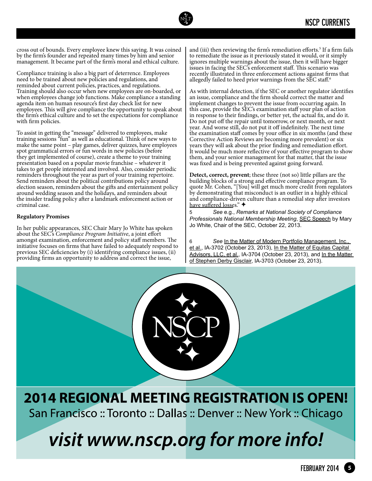

cross out of bounds. Every employee knew this saying. It was coined by the firm's founder and repeated many times by him and senior management. It became part of the firm's moral and ethical culture.

Compliance training is also a big part of deterrence. Employees need to be trained about new policies and regulations, and reminded about current policies, practices, and regulations. Training should also occur when new employees are on-boarded, or when employees change job functions. Make compliance a standing agenda item on human resource's first day check list for new employees. This will give compliance the opportunity to speak about the firm's ethical culture and to set the expectations for compliance with firm policies.

To assist in getting the "message" delivered to employees, make training sessions "fun" as well as educational. Think of new ways to make the same point - play games, deliver quizzes, have employees spot grammatical errors or fun words in new policies (before they get implemented of course), create a theme to your training presentation based on a popular movie franchise – whatever it takes to get people interested and involved. Also, consider periodic reminders throughout the year as part of your training repertoire. Send reminders about the political contributions policy around election season, reminders about the gifts and entertainment policy around wedding season and the holidays, and reminders about the insider trading policy after a landmark enforcement action or criminal case.

#### **Regulatory Promises**

In her public appearances, SEC Chair Mary Jo White has spoken about the SEC's *Compliance Program Initiative*, a joint effort amongst examination, enforcement and policy staff members. The initiative focuses on firms that have failed to adequately respond to previous SEC deficiencies by (i) identifying compliance issues, (ii) providing firms an opportunity to address and correct the issue,

and (iii) then reviewing the firm's remediation efforts.<sup>5</sup> If a firm fails to remediate the issue as it previously stated it would, or it simply ignores multiple warnings about the issue, then it will have bigger issues in facing the SEC's enforcement staff. This scenario was recently illustrated in three enforcement actions against firms that allegedly failed to heed prior warnings from the SEC staff.<sup>6</sup>

As with internal detection, if the SEC or another regulator identifies an issue, compliance and the firm should correct the matter and implement changes to prevent the issue from occurring again. In this case, provide the SEC's examination staff your plan of action in response to their findings, or better yet, the actual fix, and do it. Do not put off the repair until tomorrow, or next month, or next year. And worse still, do not put it off indefinitely. The next time the examination staff comes by your office in six months (and these Corrective Action Reviews are becoming more prevalent) or six years they will ask about the prior finding and remediation effort. It would be much more reflective of your effective program to show them, and your senior management for that matter, that the issue was fixed and is being prevented against going forward.

**Detect, correct, prevent**; these three (not so) little pillars are the building blocks of a strong and effective compliance program. To quote Mr. Cohen, "[You] will get much more credit from regulators by demonstrating that misconduct is an outlier in a highly ethical and compliance-driven culture than a remedial step after investors have suffered losses."

5 *See* e.g., *Remarks at National Society of Compliance Professionals National Membership Meeting*, SEC Speech by Mary Jo White, Chair of the SEC, October 22, 2013.

6 *See* In the Matter of Modern Portfolio Management, Inc., et al., IA-3702 (October 23, 2013), In the Matter of Equitas Capital Advisors, LLC, et al., IA-3704 (October 23, 2013), and In the Matter of Stephen Derby Gisclair, IA-3703 (October 23, 2013).



**2014 REGIONAL MEETING REGISTRATION IS OPEN!** San Francisco :: Toronto :: Dallas :: Denver :: New York :: Chicago

## visit www.nscp.org for more info!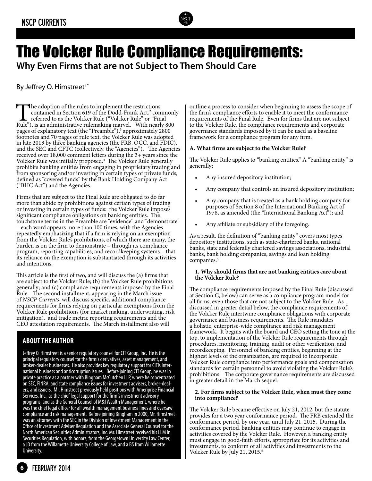

## The Volcker Rule Compliance Requirements: **Why Even Firms that are not Subject to Them Should Care**

By Jeffrey O. Himstreet<sup>1\*</sup>

The adoption of the rules to implement the restrictions contained in Section 619 of the Dodd-Frank Act,<sup>2</sup> commonly referred to as the Volcker Rule ("Volcker Rule" or "Final Rule"), is an administrative rulemaking marvel. With nearly 800 pages of explanatory text (the "Preamble"),<sup>3</sup> approximately 2800 footnotes and 70 pages of rule text, the Volcker Rule was adopted in late 2013 by three banking agencies (the FRB, OCC, and FDIC), and the SEC and CFTC (collectively, the "Agencies"). The Agencies received over 18,000 comment letters during the 3+ years since the Volcker Rule was initially proposed.<sup>4</sup> The Volcker Rule generally prohibits banking entities from engaging in proprietary trading and from sponsoring and/or investing in certain types of private funds, defined as "covered funds" by the Bank Holding Company Act ("BHC Act") and the Agencies.

Firms that are subject to the Final Rule are obligated to do far more than abide by prohibitions against certain types of trading or investing in certain types of funds: the Volcker Rule imposes significant compliance obligations on banking entities. The touchstone terms in the Preamble are "evidence" and "demonstrate" – each word appears more than 100 times, with the Agencies repeatedly emphasizing that if a firm is relying on an exemption from the Volcker Rule's prohibitions, of which there are many, the burden is on the firm to demonstrate – through its compliance program, reporting capabilities, and recordkeeping systems – that its reliance on the exemption is substantiated through its activities and intentions.

This article is the first of two, and will discuss the (a) firms that are subject to the Volcker Rule; (b) the Volcker Rule prohibitions generally; and (c) compliance requirements imposed by the Final Rule. The second installment, appearing in the March issue of *NSCP Currents*, will discuss specific, additional compliance requirements for firms relying on particular exemptions from the Volcker Rule prohibitions (for market making, underwriting, risk mitigation), and trade metric reporting requirements and the CEO attestation requirements. The March installment also will

#### **About the author**

Jeffrey O. Himstreet is a senior regulatory counsel for CIT Group, Inc. He is the principal regulatory counsel for the firmís derivatives, asset management, and broker-dealer businesses. He also provides key regulatory support for CITís international business and anticorruption issues. Before joining CIT Group, he was in private practice as a partner with Bingham McCutchen LLP, where he concentrated on SEC, FINRA, and state compliance issues for investment advisers, broker-deal-<br>ers, and issuers. Mr. Himstreet previously held positions with Ameriprise Financial Services, Inc., as the chief legal support for the firmís investment advisory programs, and as the General Counsel of M&I Wealth Management, where he was the chief legal officer for all wealth management business lines and oversaw compliance and risk management. Before joining Bingham in 2000, Mr. Himstreet was an attorney with the SEC in the Division of Investment Management in the Office of Investment Adviser Regulation and the Associate General Counsel for the North American Securities Administrators, Inc. Mr. Himstreet received his LLM in Securities Regulation, with honors, from the Georgetown University Law Center, a JD from the Willamette University College of Law, and a BS from Willamette University.

outline a process to consider when beginning to assess the scope of the firm's compliance efforts to enable it to meet the conformance requirements of the Final Rule. Even for firms that are not subject to the Volcker Rule, the compliance requirements and corporate governance standards imposed by it can be used as a baseline framework for a compliance program for any firm.

#### **A. What firms are subject to the Volcker Rule?**

The Volcker Rule applies to "banking entities." A "banking entity" is generally:

- Any insured depository institution;
- Any company that controls an insured depository institution;
- Any company that is treated as a bank holding company for purposes of Section 8 of the International Banking Act of 1978, as amended (the "International Banking Act"); and
- Any affiliate or subsidiary of the foregoing.

As a result, the definition of "banking entity" covers most types depository institutions, such as state-chartered banks, national banks, state and federally chartered savings associations, industrial banks, bank holding companies, savings and loan holding companies.<sup>5</sup>

#### **1. Why should firms that are not banking entities care about the Volcker Rule?**

The compliance requirements imposed by the Final Rule (discussed at Section C, below) can serve as a compliance program model for all firms, even those that are not subject to the Volcker Rule. As discussed in greater detail below, the compliance requirements of the Volcker Rule intertwine compliance obligations with corporate governance and business requirements. The Rule mandates a holistic, enterprise-wide compliance and risk management framework. It begins with the board and CEO setting the tone at the top, to implementation of the Volcker Rule requirements through procedures, monitoring, training, audit or other verification, and recordkeeping. Personnel of banking entities, beginning at the highest levels of the organization, are required to incorporate Volcker Rule compliance into performance goals and compensation standards for certain personnel to avoid violating the Volcker Rule's prohibitions. The corporate governance requirements are discussed in greater detail in the March sequel.

#### **2. For firms subject to the Volcker Rule, when must they come into compliance?**

The Volcker Rule became effective on July 21, 2012, but the statute provides for a two year conformance period. The FRB extended the conformance period, by one year, until July 21, 2015. During the conformance period, banking entities may continue to engage in activities covered by the Volcker Rule. However, a banking entity must engage in good-faith efforts, appropriate for its activities and investments, to conform of all activities and investments to the Volcker Rule by July 21, 2015.<sup>6</sup>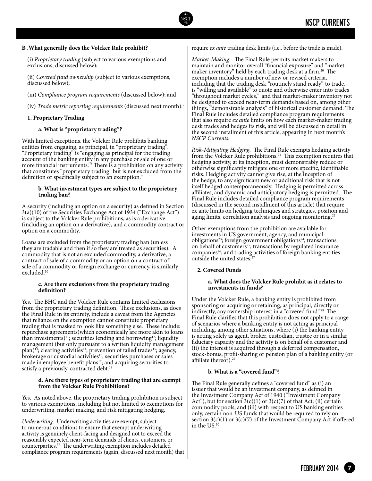

#### **B .What generally does the Volcker Rule prohibit?**

(i) *Proprietary trading* (subject to various exemptions and exclusions, discussed below);

(ii) *Covered fund ownership* (subject to various exemptions, discussed below);

(iii) *Compliance program requirements* (discussed below); and

(iv) *Trade metric reporting requirements* (discussed next month).7

#### **1. Proprietary Trading**

#### **a. What is "proprietary trading"?**

With limited exceptions, the Volcker Rule prohibits banking entities from engaging, as principal, in "proprietary trading". "Proprietary trading" is "engaging as principal for the trading account of the banking entity in any purchase or sale of one or more financial instruments."8 There is a prohibition on any activity that constitutes "proprietary trading" but is not excluded from the definition or specifically subject to an exemption.<sup>9</sup>

#### **b. What investment types are subject to the proprietary trading ban?**

A security (including an option on a security) as defined in Section 3(a)(10) of the Securities Exchange Act of 1934 ("Exchange Act") is subject to the Volcker Rule prohibitions, as is a derivative (including an option on a derivative), and a commodity contract or option on a commodity.

Loans are excluded from the proprietary trading ban (unless they are tradable and then if so they are treated as securities). A commodity that is not an excluded commodity, a derivative, a contract of sale of a commodity or an option on a contract of sale of a commodity or foreign exchange or currency, is similarly excluded.10

#### **c. Are there exclusions from the proprietary trading definition?**

Yes. The BHC and the Volcker Rule contains limited exclusions from the proprietary trading definition. These exclusions, as does the Final Rule in its entirety, include a caveat from the Agencies that reliance on the exemption cannot constitute proprietary trading that is masked to look like something else. These include: repurchase agreements(which economically are more akin to loans than investments)<sup>11</sup>; securities lending and borrowing<sup>12</sup>; liquidity management (but only pursuant to a written liquidity management plan)<sup>13</sup>; clearing activities<sup>14</sup>; prevention of failed trades<sup>15</sup>; agency, brokerage or custodial activities<sup>16</sup>; securities purchases or sales made in employee benefit plans<sup>17</sup>; and acquiring securities to satisfy a previously-contracted debt.<sup>18</sup>

#### **d. Are there types of proprietary trading that are exempt from the Volcker Rule Prohibitions?**

Yes. As noted above, the proprietary trading prohibition is subject to various exemptions, including but not limited to exemptions for underwriting, market making, and risk mitigating hedging.

*Underwriting*. Underwriting activities are exempt, subject to numerous conditions to ensure that exempt underwriting activity is genuinely client-facing and designed not to exceed the reasonably expected near-term demands of clients, customers, or counterparties.19 The underwriting exemption includes detailed compliance program requirements (again, discussed next month) that require *ex ante* trading desk limits (i.e., before the trade is made).

*Market-Making*. The Final Rule permits market makers to maintain and monitor overall "financial exposure" and "marketmaker inventory" held by each trading desk at a firm.<sup>20</sup> The exemption includes a number of new or revised criteria, including that the trading desk "routinely stand ready" to trade, is "willing and available" to quote and otherwise enter into trades "throughout market cycles," and that market-maker inventory not be designed to exceed near-term demands based on, among other things, "demonstrable analysis" of historical customer demand. The Final Rule includes detailed compliance program requirements that also require *ex ante* limits on how each market-maker trading desk trades and hedges its risk, and will be discussed in detail in the second installment of this article, appearing in next month's *NSCP Currents.* 

*Risk-Mitigating Hedging*. The Final Rule exempts hedging activity from the Volcker Rule prohibitions.<sup>21</sup> This exemption requires that hedging activity, at its inception, must demonstrably reduce or otherwise significantly mitigate one or more specific, identifiable risks. Hedging activity cannot give rise, at the inception of the hedge, to any significant new or additional risk that is not itself hedged contemporaneously. Hedging is permitted across affiliates, and dynamic and anticipatory hedging is permitted. The Final Rule includes detailed compliance program requirements (discussed in the second installment of this article) that require ex ante limits on hedging techniques and strategies, position and aging limits, correlation analysis and ongoing monitoring.<sup>22</sup>

Other exemptions from the prohibition are available for investments in US government, agency, and municipal obligations<sup>23</sup>; foreign government obligations<sup>24</sup>; transactions on behalf of customers<sup>25</sup>; transactions by regulated insurance companies<sup>26</sup>; and trading activities of foreign banking entities outside the united states.<sup>27</sup>

#### **2. Covered Funds**

#### **a. What does the Volcker Rule prohibit as it relates to investments in funds?**

Under the Volcker Rule, a banking entity is prohibited from sponsoring or acquiring or retaining, as principal, directly or indirectly, any ownership interest in a "covered fund."28 The Final Rule clarifies that this prohibition does not apply to a range of scenarios where a banking entity is not acting as principal including, among other situations, where (i) the banking entity is acting solely as agent, broker, custodian, trustee or in a similar fiduciary capacity and the activity is on behalf of a customer and (ii) the interest is acquired through a deferred compensation, stock-bonus, profit-sharing or pension plan of a banking entity (or affiliate thereof).29

#### **b. What is a "covered fund"?**

The Final Rule generally defines a "covered fund" as (i) an issuer that would be an investment company, as defined in the Investment Company Act of 1940 ("Investment Company Act"), but for section  $3(c)(1)$  or  $3(c)(7)$  of that Act; (ii) certain commodity pools; and (iii) with respect to US banking entities only, certain non-US funds that would be required to rely on section 3(c)(1) or 3(c)(7) of the Investment Company Act if offered in the US.30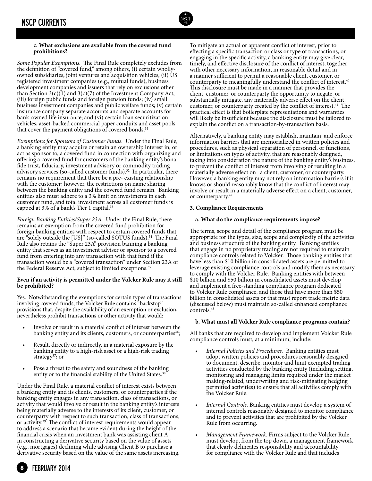#### **c. What exclusions are available from the covered fund prohibitions?**

*Some Popular Exemptions.* The Final Rule completely excludes from the definition of "covered fund," among others, (i) certain whollyowned subsidiaries, joint ventures and acquisition vehicles; (ii) US registered investment companies (e.g., mutual funds), business development companies and issuers that rely on exclusions other than Section  $3(c)(1)$  and  $3(c)(7)$  of the Investment Company Act; (iii) foreign public funds and foreign pension funds;  $(iv)$  small business investment companies and public welfare funds; (v) certain insurance company separate accounts and separate accounts for bank-owned life insurance; and (vi) certain loan securitization vehicles, asset-backed commercial paper conduits and asset pools that cover the payment obligations of covered bonds.<sup>31</sup>

*Exemptions for Sponsors of Customer Funds.* Under the Final Rule, a banking entity may acquire or retain an ownership interest in, or act as sponsor to, a covered fund in connection with organizing and offering a covered fund for customers of the banking entity's bona fide trust, fiduciary, investment advisory or commodity trading advisory services (so-called customer funds).<sup>32</sup> In particular, there remains no requirement that there be a pre- existing relationship with the customer; however, the restrictions on name sharing between the banking entity and the covered fund remain. Banking entities also must adhere to a 3% limit on investments in each customer fund, and total investment across all customer funds is capped at 3% of a bank's Tier 1 capital.<sup>33</sup>

*Foreign Banking Entities/Super 23A.* Under the Final Rule, there remains an exemption from the covered fund prohibition for foreign banking entities with respect to certain covered funds that are "solely outside the [US]" (so-called SOTUS funds).<sup>34</sup> The Final Rule also retains the "Super 23A" provision banning a banking entity that serves as an investment adviser or sponsor to a covered fund from entering into any transaction with that fund if the transaction would be a "covered transaction" under Section 23A of the Federal Reserve Act, subject to limited exceptions.<sup>35</sup>

#### **Even if an activity is permitted under the Volcker Rule may it still be prohibited?**

Yes. Notwithstanding the exemptions for certain types of transactions involving covered funds, the Volcker Rule contains <sup>\*</sup>backstop" provisions that, despite the availability of an exemption or exclusion, nevertheless prohibit transactions or other activity that would:

- Involve or result in a material conflict of interest between the banking entity and its clients, customers, or counterparties<sup>36</sup>;
- Result, directly or indirectly, in a material exposure by the banking entity to a high-risk asset or a high-risk trading strategy $37$ ; or
- Pose a threat to the safety and soundness of the banking entity or to the financial stability of the United States.<sup>38</sup>

Under the Final Rule, a material conflict of interest exists between a banking entity and its clients, customers, or counterparties if the banking entity engages in any transaction, class of transactions, or activity that would involve or result in the banking entity's interests being materially adverse to the interests of its client, customer, or counterparty with respect to such transaction, class of transactions, or activity.<sup>39</sup> The conflict of interest requirements would appear to address a scenario that became evident during the height of the financial crisis when an investment bank was assisting client A in constructing a derivative security based on the value of assets (e.g., mortgages) declining while advising Client B to purchase a derivative security based on the value of the same assets increasing.

To mitigate an actual or apparent conflict of interest, prior to effecting a specific transaction or class or type of transactions, or engaging in the specific activity, a banking entity may give clear, timely, and effective disclosure of the conflict of interest, together with other necessary information, in reasonable detail and in a manner sufficient to permit a reasonable client, customer, or counterparty to meaningfully understand the conflict of interest.40 This disclosure must be made in a manner that provides the client, customer, or counterparty the opportunity to negate, or substantially mitigate, any materially adverse effect on the client, customer, or counterparty created by the conflict of interest.<sup>41</sup> The practical effect is that boilerplate representations and warranties will likely be insufficient because the disclosure must be tailored to explain the conflict on a transaction-by-transaction basis.

Alternatively, a banking entity may establish, maintain, and enforce information barriers that are memorialized in written policies and procedures, such as physical separation of personnel, or functions, or limitations on types of activity, that are reasonably designed, taking into consideration the nature of the banking entity's business, to prevent the conflict of interest from involving or resulting in a materially adverse effect on a client, customer, or counterparty. However, a banking entity may not rely on information barriers if it knows or should reasonably know that the conflict of interest may involve or result in a materially adverse effect on a client, customer, or counterparty.<sup>42</sup>

#### **3. Compliance Requirements**

#### **a. What do the compliance requirements impose?**

The terms, scope and detail of the compliance program must be appropriate for the types, size, scope and complexity of the activities and business structure of the banking entity. Banking entities that engage in no proprietary trading are not required to maintain compliance controls related to Volcker. Those banking entities that have less than \$10 billion in consolidated assets are permitted to leverage existing compliance controls and modify them as necessary to comply with the Volcker Rule. Banking entities with between \$10 billion and \$50 billion in consolidated assets must develop and implement a free-standing compliance program dedicated to Volcker Rule compliance, and those that have more than \$50 billion in consolidated assets or that must report trade metric data (discussed below) must maintain so-called enhanced compliance controls.43

#### **b. What must all Volcker Rule compliance programs contain?**

All banks that are required to develop and implement Volcker Rule compliance controls must, at a minimum, include:

- *Internal Policies and Procedures.* Banking entities must adopt written policies and procedures reasonably designed to document, describe, monitor and limit exempted trading activities conducted by the banking entity (including setting, monitoring and managing limits required under the market making-related, underwriting and risk-mitigating hedging permitted activities) to ensure that all activities comply with the Volcker Rule.
- *Internal Controls.* Banking entities must develop a system of internal controls reasonably designed to monitor compliance and to prevent activities that are prohibited by the Volcker Rule from occurring.
- *Management Framework.* Firms subject to the Volcker Rule must develop, from the top down, a management framework that clearly delineates responsibility and accountability for compliance with the Volcker Rule and that includes

## **8** february 2014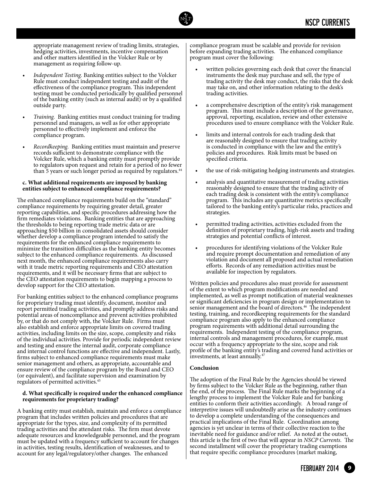

appropriate management review of trading limits, strategies, hedging activities, investments, incentive compensation and other matters identified in the Volcker Rule or by management as requiring follow-up.

- *Independent Testing. Banking entities subject to the Volcker* Rule must conduct independent testing and audit of the effectiveness of the compliance program. This independent testing must be conducted periodically by qualified personnel of the banking entity (such as internal audit) or by a qualified outside party.
- *Training.* Banking entities must conduct training for trading personnel and managers, as well as for other appropriate personnel to effectively implement and enforce the compliance program.
- *Recordkeeping.* Banking entities must maintain and preserve records sufficient to demonstrate compliance with the Volcker Rule, which a banking entity must promptly provide to regulators upon request and retain for a period of no fewer than 5 years or such longer period as required by regulators.<sup>44</sup>

#### **c. What additional requirements are imposed by banking entities subject to enhanced compliance requirements?**

The enhanced compliance requirements build on the "standard" compliance requirements by requiring greater detail, greater reporting capabilities, and specific procedures addressing how the firm remediates violations. Banking entities that are approaching the thresholds to being reporting trade metric data or are approaching \$50 billion in consolidated assets should consider whether develop a compliance program intended to satisfy the requirements for the enhanced compliance requirements to minimize the transition difficulties as the banking entity becomes subject to the enhanced compliance requirements. As discussed next month, the enhanced compliance requirements also carry with it trade metric reporting requirements and CEO attestation requirements, and it will be necessary firms that are subject to the CEO attestation requirements to begin mapping a process to develop support for the CEO attestation.

For banking entities subject to the enhanced compliance programs for proprietary trading must identify, document, monitor and report permitted trading activities, and promptly address risks and potential areas of noncompliance and prevent activities prohibited by, or that do not comply with, the Volcker Rule. Firms must also establish and enforce appropriate limits on covered trading activities, including limits on the size, scope, complexity and risks of the individual activities. Provide for periodic independent review and testing and ensure the internal audit, corporate compliance and internal control functions are effective and independent. Lastly, firms subject to enhanced compliance requirements must make senior management and others, as appropriate, accountable and ensure review of the compliance program by the Board and CEO (or equivalent), and facilitate supervision and examination by regulators of permitted activities.45

#### **d. What specifically is required under the enhanced compliance requirements for proprietary trading?**

A banking entity must establish, maintain and enforce a compliance program that includes written policies and procedures that are appropriate for the types, size, and complexity of its permitted trading activities and the attendant risks. The firm must devote adequate resources and knowledgeable personnel, and the program must be updated with a frequency sufficient to account for changes in activities, testing results, identification of weaknesses, and to account for any legal/regulatory/other changes. The enhanced

compliance program must be scalable and provide for revision before expanding trading activities. The enhanced compliance program must cover the following:

- written policies governing each desk that cover the financial instruments the desk may purchase and sell, the type of trading activity the desk may conduct, the risks that the desk may take on, and other information relating to the desk's trading activities.
- a comprehensive description of the entity's risk management program. This must include a description of the governance, approval, reporting, escalation, review and other extensive procedures used to ensure compliance with the Volcker Rule.
- limits and internal controls for each trading desk that are reasonably designed to ensure that trading activity is conducted in compliance with the law and the entity's policies and procedures. Risk limits must be based on specified criteria.
- • the use of risk-mitigating hedging instruments and strategies.
- analysis and quantitative measurement of trading activities reasonably designed to ensure that the trading activity of each trading desk is consistent with the entity's compliance program. This includes any quantitative metrics specifically tailored to the banking entity's particular risks, practices and strategies.
- permitted trading activities, activities excluded from the definition of proprietary trading, high-risk assets and trading strategies and potential conflicts of interest.
- procedures for identifying violations of the Volcker Rule and require prompt documentation and remediation of any violation and document all proposed and actual remediation efforts. Records of any remediation activities must be available for inspection by regulators.

Written policies and procedures also must provide for assessment of the extent to which program modifications are needed and implemented, as well as prompt notification of material weaknesses or significant deficiencies in program design or implementation to senior management and the board of directors.<sup>46</sup> The independent testing, training, and recordkeeping requirements for the standard compliance program also apply to the enhanced compliance program requirements with additional detail surrounding the requirements. Independent testing of the compliance program, internal controls and management procedures, for example, must occur with a frequency appropriate to the size, scope and risk profile of the banking entity's trading and covered fund activities or investments, at least annually.47

#### **Conclusion**

The adoption of the Final Rule by the Agencies should be viewed by firms subject to the Volcker Rule as the beginning, rather than the end, of the process. The Final Rule marks the beginning of a lengthy process to implement the Volcker Rule and for banking entities to conform their activities accordingly. A broad range of interpretive issues will undoubtedly arise as the industry continues to develop a complete understanding of the consequences and practical implications of the Final Rule. Coordination among agencies is yet unclear in terms of their collective reaction to the inevitable need for guidance and/or relief. As noted at the outset, this article is the first of two that will appear in *NSCP Currents.* The second installment will cover the proprietary trading exemptions that require specific compliance procedures (market making,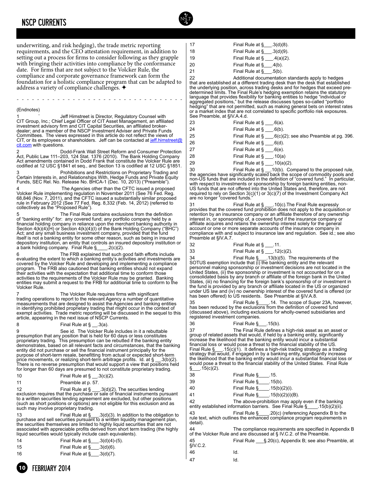### NSCP CURRENTS



underwriting, and risk hedging), the trade metric reporting requirements, and the CEO attestation requirement, in addition to setting out a process for firms to consider following as they grapple with bringing their activities into compliance by the conformance date. For firms that are not subject to the Volcker Rule, the compliance and corporate governance framework can form the foundation for a holistic compliance program that can be adapted to address a variety of compliance challenges.  $\triangleleft$ 

#### (Endnotes)

1<br>
Unit Himstreet is Director, Regulatory Counsel with<br>
CIT Group, Inc.; Chief Legal Officer of CIT Asset Management, an affiliated<br>
investment advisory firm and CIT Capital Securities, an affiliated broker-<br>
dealer; and a CIT, or its employees or shareholders. Jeff can be contacted at [jeff.himstreet@](mailto:jeff.himstreet@cit.com) [cit.com](mailto:jeff.himstreet@cit.com) with questions.

---------------------------------

2 Dodd-Frank Wall Street Reform and Consumer Protection Act, Public Law 111–203, 124 Stat. 1376 (2010). The Bank Holding Company Act amendments contained in Dodd Frank that constitute the Volcker Rule are codified at 12 USC §1841 et seq., and Section 13 is codified at 12 USC §1851.

3 Prohibitions and Restrictions on Proprietary Trading and Certain Interests in, and Relationships With, Hedge Funds and Private Equity Funds, SEC Rel. No. Release No. BHCA-1 (Dec. 10, 2013) ("Preamble").

The Agencies other than the CFTC issued a proposed Volcker Rule implementing regulation in November 2011 (See 76 Fed. Reg.<br>68,846 (Nov. 7, 2011), and the CFTC issued a substantially similar proposed<br>rule in February 2012 (See 77 Fed. Reg. 8,332 (Feb. 14, 2012) (referred to collectively as the "Proposed Rule").

The Final Rule contains exclusions from the definition of "banking entity" for: any covered fund; any portfolio company held by a financial holding company in reliance upon the merchant banking authority in Section 4(k)(4)(H) or Section 4(k)(4)(I) of the Bank Holding Company ("BHC") Act; and any small business investment company, provided that the fund<br>itself is not a banking entity for some other reason, such as being in insured<br>depository institution, an entity that controls an insured depository in a bank holding company. Final Rule  $\S$  2(c)(2).

6 The FRB explained that such good faith efforts include evaluating the extent to which a banking entity's activities and investments are covered by the Volcker Rule and developing and implementing a compliance program. The FRB also cautioned that banking entities should not expand their activities with the expectation that additional time to conform those<br>activities to the requirements of the Volcker Rule may be granted. Banking<br>entities may submit a request to the FRB for additional time to confor Volcker Rule.

The Volcker Rule requires firms with significant trading operations to report to the relevant Agency a number of quantitative measurements that are designed to assist the Agencies and banking entities in identifying prohibited proprietary trading that might occur in the context of exempt activities. Trade metric reporting will be discussed in the sequel to this article, appearing in the next issue of NSCP Currents.

#### 8 Final Rule at  $\S$  \_\_.3(a).

See id. The Volcker Rule includes in it a rebuttable presumption that any position that is held for 60 days or less constitutes proprietary trading. This presumption can be rebutted if the banking entity demonstrates, based on all relevant facts and circumstances, that the banking entity did not purchase or sell the financial instrument principally for the purpose of short-term resale, benefitting from actual or expected short-term<br>price movements, or realizing short-term arbitrage profits. Id. at § \_\_3(b)(2).<br>There is no reverse presumption that would support a view that po

| 10 | Final Rule at $\S$ __ 3(c)(2). |  |
|----|--------------------------------|--|
|----|--------------------------------|--|

11 Preamble at p. 57.

12 Final Rule at § \_\_\_.3(d)(2). The securities lending exclusion requires that the purchase or sale of financial instruments pursuant to a written securities lending agreement are excluded, but other positions (such as short positions or options) are not eligible for this exclusion and as such may involve proprietary trading.

13 Final Rule at §\_\_\_.3(d)(3). In addition to the obligation to purchase and sell securities pursuant to a written liquidity management plan, the securities themselves are limited to highly liquid securities that are not associated with appreciable profits derived from short term trading (the highly liquid securities would typically include cash equivalents).

| Final Rule at $\S$ . $3(d)(4)-(5)$ .<br>14 |  |
|--------------------------------------------|--|
|--------------------------------------------|--|

16 Final Rule at §\_\_\_.3(d)(7).

- 17 **Final Rule at**  $\S$   $3(d)(8)$ . 18 **Final Rule at §**  $(3(d)(9))$ .
- 19 **Final Rule at §** \_\_\_.4(a)(2).
- 20 **Final Rule at §**\_\_\_\_.4(b).
- 21 Final Rule at §\_\_\_\_.5(b).
	-

22 Additional documentation standards apply to hedges that are established at a different trading desk than the desk that established the underlying position, across trading desks and for hedges that exceed pre-determined limits. The Final Rule's hedging exemption retains the statutory language that provides flexibility for banking entities to hedge "individual or aggregated positions," but the release discusses types so-called "portfolio hedging" that are not permitted, such as making general bets on interest rates or a market index that are not correlated to specific portfolio risk exposures. See Preamble, at §IV.A.4.d.

| 23     | Final Rule at $\S$ . 6(a).                                |
|--------|-----------------------------------------------------------|
| 24     | Final Rule at $\S$ .6(b).                                 |
| 25     | Final Rule at $\S$ 6(c)(2); see also Preamble at pg. 396. |
| 26     | Final Rule at $\S$ 6(d).                                  |
| 27     | Final Rule at $\S$ .6(e).                                 |
| 28     | Final Rule at $\sin 10(a)$                                |
| 29     | Final Rule at $\S$ ____. 10(a)(2).                        |
| $\sim$ |                                                           |

30 Final Rule at § \_\_.10(b). Compared to the proposed rule, the agencies have significantly scaled back the scope of commodity pools and non-US funds that are included in the definition of "covered fund." In particular, with respect to investments or sponsorship by foreign banking entities, non-US funds that are not offered into the United States and, therefore, are not required to rely on Section 3(c)(1) or 3(c)(7) of the Investment Company Act are no longer "covered funds."

31 Final Rule at § \_\_\_.10(c).The Final Rule expressly provides that the covered fund prohibition does not apply to the acquisition or retention by an insurance company or an affiliate therefore of any ownership interest in, or sponsorship of, a covered fund if the insurance company or affiliate acquires and retains the ownership interest solely for the general account or one or more separate accounts of the insurance company in compliance with and subject to insurance law and regulation. See id.; see also Preamble at §IV.A.7.

| $\frac{1}{32}$ | Final Rule at $\S$ .11.          |
|----------------|----------------------------------|
| $\vert$ 33     | Final Rule at $\S$ ___ 12(c)(2). |
|                |                                  |

34 Final Rule §\_\_\_.13(b)(5). The requirements of the SOTUS exemption include that (i) the banking entity and the relevant personnel making sponsorship or investment decisions are not located in the United States, (ii) the sponsorship or investment is not accounted for on a consolidated basis by any branch or affiliate of the foreign bank in the United States, (iii) no financing for the foreign bank's sponsorship of or investment in the fund is provided by any branch or affiliate located in the US or organized under US law and (iv) no ownership interest of the covered fund is offered (or has been offered) to US residents. See Preamble at §IV.A.8.

35 Final Rule §\_\_\_\_.14. The scope of Super 23A, however, has been reduced by the exclusions from the definition of covered fund (discussed above), including exclusions for wholly-owned subsidiaries and registered investment companies.

36 Final Rule §\_\_\_.15(b).

37 The Final Rule defines a high-risk asset as an asset or group of related assets that would, if held by a banking entity, significantly increase the likelihood that the banking entity would incur a substantial financial loss or would pose a threat to the financial stability of the US. Final Rule §\_\_\_.15(c)(1). It defines a high-risk trading strategy as a trading<br>strategy that would, if engaged in by a banking entity, significantly increase<br>the likelihood that the banking entity would incur a substantia would pose a threat to the financial stability of the United States. Final Rule  $\S$  . 15(c)(2).

| 38 | Final Rule § | .15. |
|----|--------------|------|
|    |              |      |

- 39 Final Rule §\_\_\_\_.15(b).
- 40 Final Rule §\_\_\_\_.15(b)(2)(i).
- 41 Final Rule §\_\_\_\_.15(b)(2)(i)(B).

42 The above-prohibition may apply even if the banking entity established information barriers. See Final Rule §\_\_\_\_.15(b)(2)(ii).

43 Final Rule §\_\_\_\_.20(c) (referencing Appendix B to the rule text, which outlines the enhanced compliance program requirements in detail).

44 The compliance requirements are specified in Appendix B of the Volcker Rule and are discussed at § IV.C.2. of the Preamble.

| 45<br>\$IV.C.2. |     | Final Rule § 20(c), Appendix B; see also Preamble, at |
|-----------------|-----|-------------------------------------------------------|
| -46             | Id. |                                                       |

47 Id.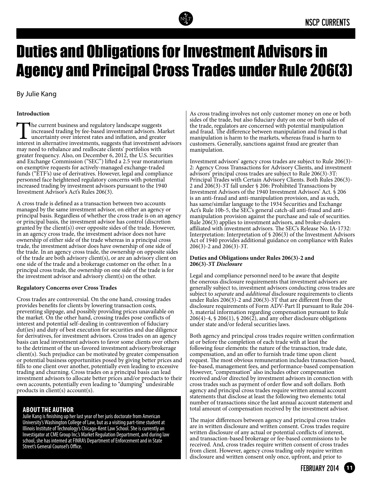

## Duties and Obligations for Investment Advisors in Agency and Principal Cross Trades under Rule 206(3)

By Julie Kang

#### **Introduction**

The current business and regulatory landscape suggests<br>increased trading by fee-based investment advisors. Market<br>interest in alternative investments, suggests that investment advisors increased trading by fee-based investment advisors. Market uncertainty over interest rates and inflation, and greater may need to rebalance and reallocate clients' portfolios with greater frequency. Also, on December 6, 2012, the U.S. Securities and Exchange Commission ("SEC") lifted a 2.5 year moratorium on exemptive requests for actively-managed exchange-traded funds ("ETF's) use of derivatives. However, legal and compliance personnel face heightened regulatory concerns with potential increased trading by investment advisors pursuant to the 1940 Investment Advisor's Act's Rules 206(3).

A cross trade is defined as a transaction between two accounts managed by the same investment advisor, on either an agency or principal basis. Regardless of whether the cross trade is on an agency or principal basis, the investment advisor has control (discretion granted by the client(s)) over opposite sides of the trade. However, in an agency cross trade, the investment advisor does not have ownership of either side of the trade whereas in a principal cross trade, the investment advisor does have ownership of one side of the trade. In an agency cross trade, the ownership on opposite sides of the trade are both advisory client(s), or are an advisory client on one side of the trade and a brokerage customer on the other. In a principal cross trade, the ownership on one side of the trade is for the investment advisor and advisory client(s) on the other.

#### **Regulatory Concerns over Cross Trades**

Cross trades are controversial. On the one hand, crossing trades provides benefits for clients by lowering transaction costs, preventing slippage, and possibly providing prices unavailable on the market. On the other hand, crossing trades pose conflicts of interest and potential self-dealing in contravention of fiduciary dut(ies) and duty of best execution for securities and due diligence for derivatives, for investment advisors. Cross trades on an agency basis can lead investment advisors to favor some clients over others to the detriment of the un-favored investment advisory/brokerage client(s). Such prejudice can be motivated by greater compensation or potential business opportunities posed by giving better prices and fills to one client over another, potentially even leading to excessive trading and churning. Cross trades on a principal basis can lead investment advisors to allocate better prices and/or products to their own accounts, potentially even leading to "dumping" undesirable products in client(s) account(s).

#### **About the author**

Julie Kang is finishing up her last year of her juris doctorate from American University's Washington College of Law, but as a visiting part-time student at Illinois Institute of Technology's Chicago-Kent Law School. She is currently an Investigator at CME Group Inc.'s Market Regulation Department, and during law school, she has interned at FINRA's Department of Enforcement and in State Street's General Counsel's Office.

As cross trading involves not only customer money on one or both sides of the trade, but also fiduciary duty on one or both sides of the trade, regulators are concerned with potential manipulation and fraud. The difference between manipulation and fraud is that manipulation is harm to the markets, whereas fraud is harm to customers. Generally, sanctions against fraud are greater than manipulation.

Investment advisors' agency cross trades are subject to Rule 206(3)- 2: Agency Cross Transactions for Advisory Clients, and investment advisors' principal cross trades are subject to Rule 206(3)-3T: Principal Trades with Certain Advisory Clients. Both Rules 206(3)- 2 and 206(3)-3T fall under § 206: Prohibited Transactions by Investment Advisors of the 1940 Investment Advisors' Act. § 206 is an anti-fraud and anti-manipulation provision, and as such, has same/similar language to the 1934 Securities and Exchange Act's Rule 10b-5, the SEC's general catch-all anti-fraud and antimanipulation provision against the purchase and sale of securities. Rule 206(3) applies to investment advisors, and broker-dealers affiliated with investment advisors. The SEC's Release No. IA-1732: Interpretation: Interpretation of § 206(3) of the Investment Advisors Act of 1940 provides additional guidance on compliance with Rules 206(3)-2 and 206(3)-3T.

#### **Duties and Obligations under Rules 206(3)-2 and 206(3)-3T** *Disclosure*

Legal and compliance personnel need to be aware that despite the onerous disclosure requirements that investment advisors are generally subject to, investment advisors conducting cross trades are subject to *separate* and *additional* disclosure requirements to clients under Rules 206(3)-2 and 206(3)-3T that are different from the disclosure requirements of Form ADV-Part II pursuant to Rule 204- 3, material information regarding compensation pursuant to Rule  $206(4)$ -4, § 206(1), § 206(2), and any other disclosure obligations under state and/or federal securities laws.

Both agency and principal cross trades require written confirmation at or before the completion of each trade with at least the following four elements: the nature of the transaction, trade date, compensation, and an offer to furnish trade time upon client request. The most obvious remuneration includes transaction-based, fee-based, management fees, and performance-based compensation However, "compensation" also includes other compensation received and/or directed by investment advisors in connection with cross trades such as payment of order flow and soft dollars. Both agency and principal cross trades require written annual account statements that disclose at least the following two elements: total number of transactions since the last annual account statement and total amount of compensation received by the investment advisor.

The major differences between agency and principal cross trades are in written disclosure and written consent. Cross trades require written disclosure of any actual or potential conflicts of interest, and transaction-based brokerage or fee-based commissions to be received. And, cross trades require written consent of cross trades from client. However, agency cross trading only require written disclosure and written consent only once, upfront, and prior to

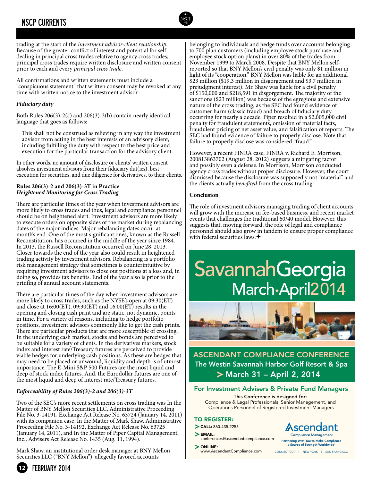### NSCP CURRENTS

trading at the start of the *investment advisor-client relationship*. Because of the greater conflict of interest and potential for selfdealing in principal cross trades relative to agency cross trades, principal cross trades require written disclosure and written consent prior to each and every *principal cross trade*.

All confirmations and written statements must include a "conspicuous statement" that written consent may be revoked at any time with written notice to the investment advisor.

#### *Fiduciary duty*

Both Rules  $206(3)-2(c)$  and  $206(3)-3(b)$  contain nearly identical language that goes as follows:

This shall not be construed as relieving in any way the investment advisor from acting in the best interests of an advisory client, including fulfilling the duty with respect to the best price and execution for the particular transaction for the advisory client.

In other words, no amount of disclosure or clients' written consent absolves investment advisors from their fiduciary dut(ies), best execution for securities, and due diligence for derivatives, to their clients.

#### **Rules 206(3)-2 and 206(3)-3T in Practice** *Heightened Monitoring for Cross Trading*

There are particular times of the year when investment advisors are more likely to cross trades and thus, legal and compliance personnel should be on heightened alert. Investment advisors are more likely to execute orders on opposite sides of the market during rebalancing dates of the major indices. Major rebalancing dates occur at month's end. One of the most significant ones, known as the Russell Reconstitution, has occurred in the middle of the year since 1984. In 2013, the Russell Reconstitution occurred on June 28, 2013. Closer towards the end of the year also could result in heightened trading activity by investment advisors. Rebalancing is a portfolio risk management strategy that sometimes is counterintuitive by requiring investment advisors to close out positions at a loss and, in doing so, provides tax benefits. End of the year also is prior to the printing of annual account statements.

There are particular times of the day when investment advisors are more likely to cross trades, such as the NYSE's open at 09:30(ET) and close at 16:00(ET). 09:30(ET) and 16:00(ET) results in the opening and closing cash print and are static, not dynamic, points in time. For a variety of reasons, including to hedge portfolio positions, investment advisors commonly like to get the cash prints. There are particular products that are more susceptible of crossing. In the underlying cash market, stocks and bonds are perceived to be suitable for a variety of clients. In the derivatives markets, stock index and interest rate/Treasury futures are perceived to provide viable hedges for underlying cash positions. As these are hedges that may need to be placed or unwound, liquidity and depth is of utmost importance. The E-Mini S&P 500 Futures are the most liquid and deep of stock index futures. And, the Eurodollar futures are one of the most liquid and deep of interest rate/Treasury futures.

#### *Enforceability of Rules 206(3)-2 and 206(3)-3T*

Two of the SEC's more recent settlements on cross trading was In the Matter of BNY Mellon Securities LLC, Administrative Proceeding File No. 3-14191, Exchange Act Release No. 63724 (January 14, 2011) with its companion case, In the Matter of Mark Shaw, Administrative Proceeding File No. 3-14192, Exchange Act Release No. 63725 (January 14, 2011), and In the Matter of Piper Capital Management, Inc., Advisers Act Release No. 1435 (Aug. 11, 1994).

Mark Shaw, an institutional order desk manager at BNY Mellon Securities LLC ("BNY Mellon"), allegedly favored accounts

belonging to individuals and hedge funds over accounts belonging to 700 plan customers (including employee stock purchase and employee stock option plans) in over 80% of the trades from November 1999 to March 2008. Despite that BNY Mellon selfreported so that BNY Mellon's civil penalty was only \$1 million in light of its "cooperation," BNY Mellon was liable for an additional \$23 million (\$19.3 million in disgorgement and \$3.7 million in prejudgment interest). Mr. Shaw was liable for a civil penalty of \$150,000 and \$218,591 in disgorgement. The majority of the sanctions (\$23 million) was because of the egregious and extensive nature of the cross trading, as the SEC had found evidence of customer harm (classic fraud) and breach of fiduciary duty occurring for nearly a decade. Piper resulted in a \$2,005,000 civil penalty for fraudulent statements, omission of material facts, fraudulent pricing of net asset value, and falsification of reports. The SEC had found evidence of failure to properly disclose. Note that failure to properly disclose was considered "fraud."

However, a recent FINRA case, FINRA v. Richard E. Morrison, 200813863702 (August 28, 2012) suggests a mitigating factor and possibly even a defense. In Morrison, Morrison conducted agency cross trades without proper disclosure. However, the court dismissed because the disclosure was supposedly not "material" and the clients actually *benefited* from the cross trading.

#### **Conclusion**

The role of investment advisors managing trading of client accounts will grow with the increase in fee-based business, and recent market events that challenges the traditional 60/40 model. However, this suggests that, moving forward, the role of legal and compliance personnel should also grow in tandem to ensure proper compliance with federal securities laws.

## **SavannahGeorgia** March•April2014



ASCENDANT COMPLIANCE CONFERENCE The Westin Savannah Harbor Golf Resort & Spa March 31 – April 2, 2014

#### For Investment Advisers & Private Fund Managers

This Conference is designed for:

Compliance & Legal Professionals, Senior Management, and Operations Personnel of Registered Investment Managers

#### TO REGISTER:

CALL: 860-435-2255

EMAIL: conferences@ascendantcompliance.com

> ONLINE: www.AscendantCompliance.com



Partnering With You to Make Comp a Source of Strength Worldwide®

CONNECTICUT I NEW YORK I SAN FRANCISCO

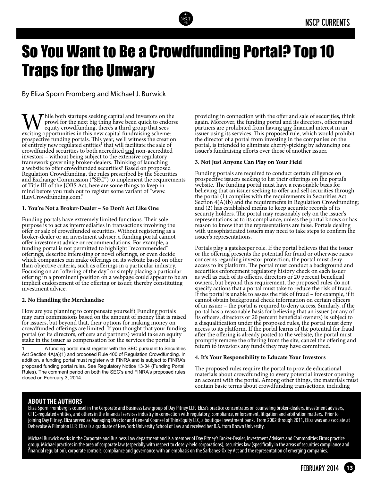

## So You Want to Be a Crowdfunding Portal? Top 10 Traps for the Unwary

By Eliza Sporn Fromberg and Michael J. Burwick

While both startups seeking capital and investors on the prowl for the next big thing have been quick to endors exciting opportunities in this new capital fundraising scheme:  $\int$  hile both startups seeking capital and investors on the prowl for the next big thing have been quick to endorse prospective funding portals. This year, we'll witness the creation of entirely new regulated entities<sup>1</sup> that will facilitate the sale of crowdfunded securities to both accredited and non-accredited investors – without being subject to the extensive regulatory framework governing broker-dealers. Thinking of launching a website to offer crowdfunded securities? Based on proposed Regulation Crowdfunding, the rules prescribed by the Securities and Exchange Commission ("SEC") to implement the requirements of Title III of the JOBS Act, here are some things to keep in mind before you rush out to register some variant of "www. iLuvCrowdfunding.com."

#### **1. You're Not a Broker-Dealer – So Don't Act Like One**

Funding portals have extremely limited functions. Their sole purpose is to act as intermediaries in transactions involving the offer or sale of crowdfunded securities. Without registering as a broker-dealer or an investment adviser, a funding portal cannot offer investment advice or recommendations. For example, a funding portal is not permitted to highlight "recommended" offerings, describe interesting or novel offerings, or even decide which companies can make offerings on its website based on other than objective criteria, such as offerings in a particular industry. Focusing on an "offering of the day" or simply placing a particular offering in a prominent position on a webpage could appear to be an implicit endorsement of the offering or issuer, thereby constituting investment advice.

#### **2. No Handling the Merchandise**

How are you planning to compensate yourself? Funding portals may earn commissions based on the amount of money that is raised for issuers, but beyond that, their options for making money on crowdfunded offerings are limited. If you thought that your funding portal (or its directors, officers and partners) would take an equity stake in the issuer as compensation for the services the portal is

A funding portal must register with the SEC pursuant to Securities Act Section 4A(a)(1) and proposed Rule 400 of Regulation Crowdfunding. In addition, a funding portal must register with FINRA and is subject to FINRA's proposed funding portal rules. See Regulatory Notice 13-34 (Funding Portal Rules). The comment period on both the SEC's and FINRA's proposed rules closed on February 3, 2014.

providing in connection with the offer and sale of securities, think again. Moreover, the funding portal and its directors, officers and partners are prohibited from having any financial interest in an  $\frac{1}{1}$ issuer using its services. This proposed rule, which would prohibit the director of a portal from investing in the companies on the portal, is intended to eliminate cherry-picking by advancing one issuer's fundraising efforts over those of another issuer.

#### **3. Not Just Anyone Can Play on Your Field**

Funding portals are required to conduct certain diligence on prospective issuers seeking to list their offerings on the portal's website. The funding portal must have a reasonable basis for believing that an issuer seeking to offer and sell securities through the portal (1) complies with the requirements in Securities Act Section 4(A)(b) and the requirements in Regulation Crowdfunding; and (2) has established means to keep accurate records of its security holders. The portal may reasonably rely on the issuer's representations as to its compliance, unless the portal knows or has reason to know that the representations are false. Portals dealing with unsophisticated issuers may need to take steps to confirm the issuer's representations.

Portals play a gatekeeper role. If the portal believes that the issuer or the offering presents the potential for fraud or otherwise raises concerns regarding investor protection, the portal must deny access to its platform. The portal must conduct a background and securities enforcement regulatory history check on each issuer as well as each of its officers, directors or 20 percent beneficial owners, but beyond this requirement, the proposed rules do not specify actions that a portal must take to reduce the risk of fraud. If the portal is unable to assess the risk of fraud – for example, if it cannot obtain background check information on certain officers of an issuer – the portal is required to deny access. Similarly, if the portal has a reasonable basis for believing that an issuer (or any of its officers, directors or 20 percent beneficial owners) is subject to a disqualification under the proposed rules, the portal must deny access to its platform. If the portal learns of the potential for fraud after the offering is already posted to the website, the portal must promptly remove the offering from the site, cancel the offering and return to investors any funds they may have committed.

#### **4. It's Your Responsibility to Educate Your Investors**

The proposed rules require the portal to provide educational materials about crowdfunding to every potential investor opening an account with the portal. Among other things, the materials must contain basic terms about crowdfunding transactions, including

#### **About the authors**

Eliza Sporn Fromberg is counsel in the Corporate and Business Law group of Day Pitney LLP. Eliza's practice concentrates on counseling broker-dealers, investment advisers, CFTC-regulated entities, and others in the financial services industry in connection with regulatory, compliance, enforcement, litigation and arbitration matters. Prior to joining Day Pitney, Eliza served as Managing Director and General Counsel of ThinkEquity LLC, a boutique investment bank. From 2002 through 2011, Eliza was an associate at Debevoise & Plimpton LLP. Eliza is a graduate of New York University School of Law and received her B.A. from Brown University.

Michael Burwick works in the Corporate and Business Law department and is a member of Day Pitney's Broker-Dealer, Investment Advisers and Commodities Firms practice group. Michael practices in the area of corporate law (especially with respect to closely-held corporations), securities law (specifically in the areas of securities compliance and financial regulation), corporate controls, compliance and governance with an emphasis on the Sarbanes-Oxley Act and the representation of emerging companies.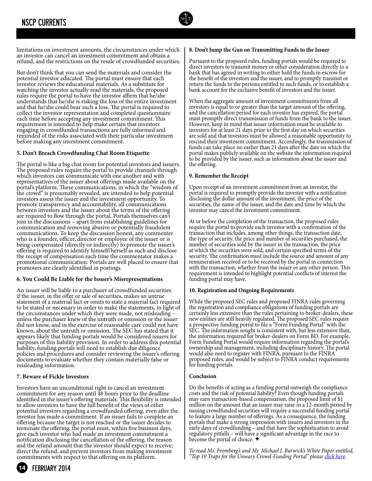

limitations on investment amounts, the circumstances under which an investor can cancel an investment commitment and obtain a refund, and the restrictions on the resale of crowdfunded securities.

But don't think that you can send the materials and consider the potential investor educated. The portal must ensure that each investor reviews the educational materials. As a substitute for watching the investor actually read the materials, the proposed rules require the portal to have the investor affirm that he/she understands that he/she is risking the loss of the entire investment and that he/she could bear such a loss. The portal is required to collect the investor representation and completed questionnaire each time before accepting any investment commitment. This requirement is intended to help make certain that investors engaging in crowdfunded transactions are fully informed and reminded of the risks associated with their particular investment before making any investment commitment.

#### **5. Don't Breach Crowdfunding Chat Room Etiquette**

The portal is like a big chat room for potential investors and issuers. The proposed rules require the portal to provide channels through which investors can communicate with one another and with representatives of the issuer about offerings made available on the portal's platform. These communications, in which the "wisdom of the crowd" is presumably revealed, are intended to help potential investors assess the issuer and the investment opportunity. To promote transparency and accountability, all communications between investors and the issuer about the terms of the offering are required to flow through the portal. Portals themselves can't join in the discussions – apart from establishing guidelines for communication and removing abusive or potentially fraudulent communications. To keep the discussion honest, any commenter who is a founder, officer, director or employee of the issuer or is being compensated (directly or indirectly) to promote the issuer's offering is required to identify himself/herself as such and disclose the receipt of compensation each time the commentator makes a promotional communication. Portals are well placed to ensure that promoters are clearly identified in postings.

#### **6. You Could Be Liable for the Issuer's Misrepresentations**

An issuer will be liable to a purchaser of crowdfunded securities if the issuer, in the offer or sale of securities, makes an untrue statement of a material fact or omits to state a material fact required to be stated or necessary in order to make the statements, in light of the circumstances under which they were made, not misleading – unless the purchaser knew of the untruth or omission or the issuer did not know, and in the exercise of reasonable care could not have known, about the untruth or omission. The SEC has stated that it appears likely that funding portals would be considered issuers for purposes of this liability provision. In order to address this potential liability, funding portals will need to establish due diligence policies and procedures and consider reviewing the issuer's offering documents to evaluate whether they contain materially false or misleading information.

#### **7. Beware of Fickle Investors**

Investors have an unconditional right to cancel an investment commitment for any reason until 48 hours prior to the deadline identified in the issuer's offering materials. This flexibility is intended to allow investors to have the full benefit of the views of other potential investors regarding a crowdfunded offering, even after the investor has made a commitment. If an issuer fails to complete an offering because the target is not reached or the issuer decides to terminate the offering, the portal must, within five business days, give each investor who had made an investment commitment a notification disclosing the cancellation of the offering, the reason and the refund amount that the investor should expect to receive; direct the refund; and prevent investors from making investment commitments with respect to that offering on its platform.

#### **8. Don't Jump the Gun on Transmitting Funds to the Issuer**

Pursuant to the proposed rules, funding portals would be required to direct investors to transmit money or other consideration directly to a bank that has agreed in writing to either hold the funds in escrow for the benefit of the investors and the issuer, and to promptly transmit or return the funds to the persons entitled to such funds, or to establish a bank account for the exclusive benefit of investors and the issuer.

When the aggregate amount of investment commitments from all investors is equal to or greater than the target amount of the offering, and the cancellation period for each investor has expired, the portal must promptly direct transmission of funds from the bank to the issuer. However, keep in mind that issuer information must be available to investors for at least 21 days prior to the first day on which securities are sold and that investors must be allowed a reasonable opportunity to rescind their investment commitment. Accordingly, the transmission of funds can take place no earlier than 21 days after the date on which the portal makes publicly available on the website the information required to be provided by the issuer, such as information about the issuer and the offering.

#### **9. Remember the Receipt**

Upon receipt of an investment commitment from an investor, the portal is required to promptly provide the investor with a notification disclosing the dollar amount of the investment, the price of the securities, the name of the issuer, and the date and time by which the investor may cancel the investment commitment.

At or before the completion of the transaction, the proposed rules require the portal to provide each investor with a confirmation of the transaction that includes, among other things, the transaction date, the type of security, the price and number of securities purchased, the number of securities sold by the issuer in the transaction, the price at which the securities were sold, and certain specified terms of the security. The confirmation must include the source and amount of any remuneration received or to be received by the portal in connection with the transaction, whether from the issuer or any other person. This requirement is intended to highlight potential conflicts of interest the funding portal may have.

#### **10. Registration and Ongoing Requirements**

While the proposed SEC rules and proposed FINRA rules governing the registration and compliance obligations of funding portals are certainly less extensive than the rules pertaining to broker-dealers, these new entities are still heavily regulated. The proposed SEC rules require a prospective funding portal to file a "Form Funding Portal" with the SEC. The information sought is consistent with, but less extensive than, the information required for broker-dealers on Form BD. For example, Form Funding Portal would require information regarding the portal's ownership and management, including disciplinary history. The portal would also need to register with FINRA, pursuant to the FINRA proposed rules, and would be subject to FINRA conduct requirements for funding portals.

#### **Conclusion**

Do the benefits of acting as a funding portal outweigh the compliance costs and the risk of potential liability? Even though funding portals may earn transaction-based compensation, the proposed limit of \$1 million on the amount that an issuer may raise in a 12-month period by issuing crowdfunded securities will require a successful funding portal to feature a large number of offerings. As a consequence, the funding portals that make a strong impression with issuers and investors in the early days of crowdfunding – and that have the sophistication to avoid regulatory pitfalls – will have a significant advantage in the race to become the portal of choice.  $\triangleleft$ 

*To read Ms. Fromberg's and Mr. Michael J. Burwick's White Paper entitled, "Top 10 Traps for the Unwary Crowd-Funding Portal" please [click here](http://www.nscp.org/site_page.cfm?pk_association_webpage_menu=17&pk_association_webpage=109).*

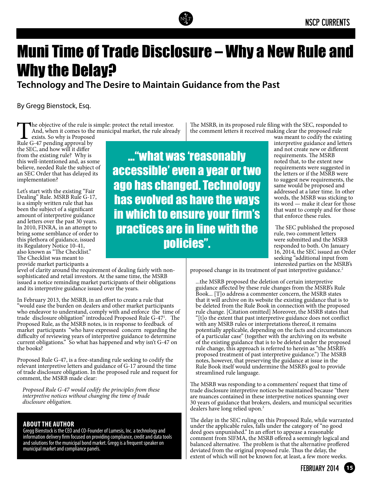

## Muni Time of Trade Disclosure – Why a New Rule and Why the Delay?

…"what was 'reasonably

accessible' even a year or two

ago has changed. Technology

has evolved as have the ways

in which to ensure your firm's

practices are in line with the

policies".

### **Technology and The Desire to Maintain Guidance from the Past**

By Gregg Bienstock, Esq.

The objective of the rule is simple: protect the retail investor.<br>And, when it comes to the municipal market, the rule alreaded Rule G-47 pending approval by And, when it comes to the municipal market, the rule already

exists. So why is Proposed Rule G-47 pending approval by the SEC, and how will it differ from the existing rule? Why is this well-intentioned and, as some believe, needed Rule the subject of an SEC Order that has delayed its implementation?

Let's start with the existing "Fair Dealing" Rule. MSRB Rule G-17, is a simply written rule that has been the subject of a significant amount of interpretive guidance and letters over the past 30 years. In 2010, FINRA, in an attempt to bring some semblance of order to this plethora of guidance, issued its Regulatory Notice 10-41, also known as "The Checklist." The Checklist was meant to provide market participants a

level of clarity around the requirement of dealing fairly with nonsophisticated and retail investors. At the same time, the MSRB issued a notice reminding market participants of their obligations and its interpretive guidance issued over the years.

In February 2013, the MSRB, in an effort to create a rule that "would ease the burden on dealers and other market participants who endeavor to understand, comply with and enforce the time of trade disclosure obligation" introduced Proposed Rule G-471 . The Proposed Rule, as the MSRB notes, is in response to feedback of market participants "who have expressed concern regarding the difficulty of reviewing years of interpretive guidance to determine current obligations." So what has happened and why isn't G-47 on the books?

Proposed Rule G-47, is a free-standing rule seeking to codify the relevant interpretive letters and guidance of G-17 around the time of trade disclosure obligation. In the proposed rule and request for comment, the MSRB made clear:

*Proposed Rule G-47 would codify the principles from these interpretive notices without changing the time of trade disclosure obligation.*

#### **About the author**

Gregg Bienstock is the CEO and CO-Founder of Lumesis, Inc. a technology and information delivery firm focused on providing compliance, credit and data tools and solutions for the municipal bond market. Gregg is a frequent speaker on municipal market and compliance panels.

The MSRB, in its proposed rule filing with the SEC, responded to the comment letters it received making clear the proposed rule was meant to codify the existing

interpretive guidance and letters and not create new or different requirements. The MSRB noted that, to the extent new requirements were suggested in the letters or if the MSRB were to suggest new requirements, the same would be proposed and addressed at a later time. In other words, the MSRB was sticking to its word — make it clear for those that want to comply and for those that enforce these rules.

 The SEC published the proposed rule, two comment letters were submitted and the MSRB responded to both. On January 16, 2014, the SEC issued an Order seeking "additional input from interested parties on the MSRB's

proposed change in its treatment of past interpretive guidance.<sup>2</sup>

...the MSRB proposed the deletion of certain interpretive guidance affected by these rule changes from the MSRB's Rule Book... [T]o address a commenter concern, the MSRB states that it will archive on its website the existing guidance that is to be deleted from the Rule Book in connection with the proposed rule change. [Citation omitted] Moreover, the MSRB states that "[t]o the extent that past interpretive guidance does not conflict with any MSRB rules or interpretations thereof, it remains potentially applicable, depending on the facts and circumstances of a particular case" (together with the archiving on its website of the existing guidance that is to be deleted under the proposed rule change, this approach is referred to herein as "the MSRB's proposed treatment of past interpretive guidance.") The MSRB notes, however, that preserving the guidance at issue in the Rule Book itself would undermine the MSRB's goal to provide streamlined rule language.

The MSRB was responding to a commenters' request that time of trade disclosure interpretive notices be maintained because "there are nuances contained in these interpretive notices spanning over 30 years of guidance that brokers, dealers, and municipal securities dealers have long relied upon.3

The delay in the SEC ruling on this Proposed Rule, while warranted under the applicable rules, falls under the category of "no good deed goes unpunished." In an effort to appease a reasonable comment from SIFMA, the MSRB offered a seemingly logical and balanced alternative. The problem is that the alternative proffered deviated from the original proposed rule. Thus the delay, the extent of which will not be known for, at least, a few more weeks.

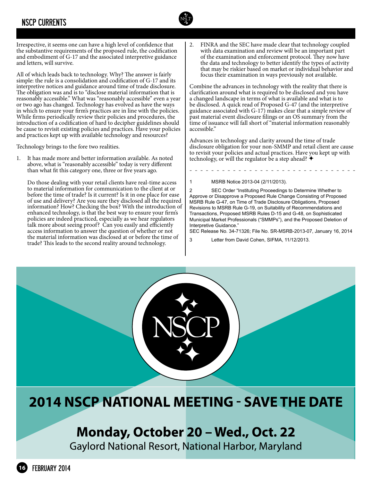

Irrespective, it seems one can have a high level of confidence that the substantive requirements of the proposed rule, the codification and embodiment of G-17 and the associated interpretive guidance and letters, will survive.

All of which leads back to technology. Why? The answer is fairly simple: the rule is a consolidation and codification of G-17 and its interpretive notices and guidance around time of trade disclosure. The obligation was and is to "disclose material information that is reasonably accessible." What was "reasonably accessible" even a year or two ago has changed. Technology has evolved as have the ways in which to ensure your firm's practices are in line with the policies. While firms periodically review their policies and procedures, the introduction of a codification of hard to decipher guidelines should be cause to revisit existing policies and practices. Have your policies and practices kept up with available technology and resources?

Technology brings to the fore two realities.

1. It has made more and better information available. As noted above, what is "reasonably accessible" today is very different than what fit this category one, three or five years ago.

Do those dealing with your retail clients have real-time access to material information for communication to the client at or before the time of trade? Is it current? Is it in one place for ease of use and delivery? Are you sure they disclosed all the required information? How? Checking the box? With the introduction of enhanced technology, is that the best way to ensure your firm's policies are indeed practiced, especially as we hear regulators talk more about seeing proof? Can you easily and efficiently access information to answer the question of whether or not the material information was disclosed at or before the time of trade? This leads to the second reality around technology.

FINRA and the SEC have made clear that technology coupled with data examination and review will be an important part of the examination and enforcement protocol. They now have the data and technology to better identify the types of activity that may be riskier based on market or individual behavior and focus their examination in ways previously not available.

Combine the advances in technology with the reality that there is clarification around what is required to be disclosed and you have a changed landscape in terms of what is available and what is to be disclosed. A quick read of Proposed G-47 (and the interpretive guidance associated with G-17) makes clear that a simple review of past material event disclosure filings or an OS summary from the time of issuance will fall short of "material information reasonably accessible."

Advances in technology and clarity around the time of trade disclosure obligation for your non-SMMP and retail client are cause to revisit your policies and actual practices. Have you kept up with technology, or will the regulator be a step ahead?  $\blacklozenge$ 

-------------------------------

1 MSRB Notice 2013-04 (2/11/2013).

2 SEC Order "Instituting Proceedings to Determine Whether to Approve or Disapprove a Proposed Rule Change Consisting of Proposed MSRB Rule G-47, on Time of Trade Disclosure Obligations, Proposed Revisions to MSRB Rule G-19, on Suitability of Recommendations and Transactions, Proposed MSRB Rules D-15 and G-48, on Sophisticated Municipal Market Professionals ("SMMPs"), and the Proposed Deletion of Interpretive Guidance."

SEC Release No. 34-71326; File No. SR-MSRB-2013-07, January 16, 2014

3 Letter from David Cohen, SIFMA, 11/12/2013.



## Monday, October 20 - Wed., Oct. 22

Gaylord National Resort, National Harbor, Maryland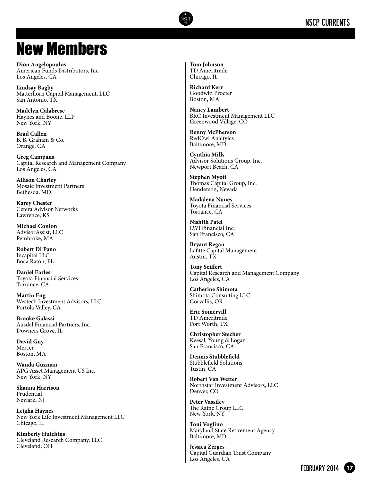

## New Members

**Dion Angelopoulos** American Funds Distributors, Inc. Los Angeles, CA

**Lindsay Bagby** Matterhorn Capital Management, LLC San Antonio, TX

**Madelyn Calabrese** Haynes and Boone, LLP New York, NY

**Brad Callen** B. B. Graham & Co. Orange, CA

**Greg Campana** Capital Research and Management Company Los Angeles, CA

**Allison Charley** Mosaic Investment Partners Bethesda, MD

**Karey Chester** Cetera Advisor Networks Lawrence, KS

**Michael Conlon** AdvisorAssist, LLC Pembroke, MA

**Robert Di Pano**  Incapital LLC Boca Raton, FL

**Daniel Earles** Toyota Financial Services Torrance, CA

**Martin Eng** Westech Investment Advisors, LLC Portola Valley, CA

**Brooke Galassi** Ausdal Financial Partners, Inc. Downers Grove, IL

**David Guy** Mercer Boston, MA

**Wanda Guzman** APG Asset Management US Inc. New York, NY

**Shauna Harrison** Prudential Newark, NJ

**Leigha Haynes** New York Life Investment Management LLC Chicago, IL

**Kimberly Hutchins** Cleveland Research Company, LLC Cleveland, OH

**Tom Johnson** TD Ameritrade Chicago, IL

**Richard Kerr**  Goodwin Procter Boston, MA

**Nancy Lambert** BRC Investment Management LLC Greenwood Village, CO

**Renny McPherson** RedOwl Analtyics Baltimore, MD

**Cynthia Mills** Advisor Solutions Group, Inc. Newport Beach, CA

**Stephen Myott** Thomas Capital Group, Inc. Henderson, Nevada

**Madalena Nunes** Toyota Financial Services Torrance, CA

**Nishith Patel** LWI Financial Inc. San Francisco, CA

**Bryant Regan** Lafitte Capital Management Austin, TX

**Tony Seiffert** Capital Research and Management Company Los Angeles, CA

**Catherine Shimota** Shimota Consulting LLC Corvallis, OR

**Eric Somervill** TD Ameritrade Fort Worth, TX

**Christopher Stecher** Keesal, Young & Logan San Francisco, CA

**Dennis Stubblefield**  Stubblefield Solutions Tustin, CA

**Robert Van Wetter** Northstar Investment Advisors, LLC Denver, CO

**Peter Vassilev** The Raine Group LLC New York, NY

**Toni Voglino** Maryland State Retirement Agency Baltimore, MD

**Jessica Zerges** Capital Guardian Trust Company Los Angeles, CA